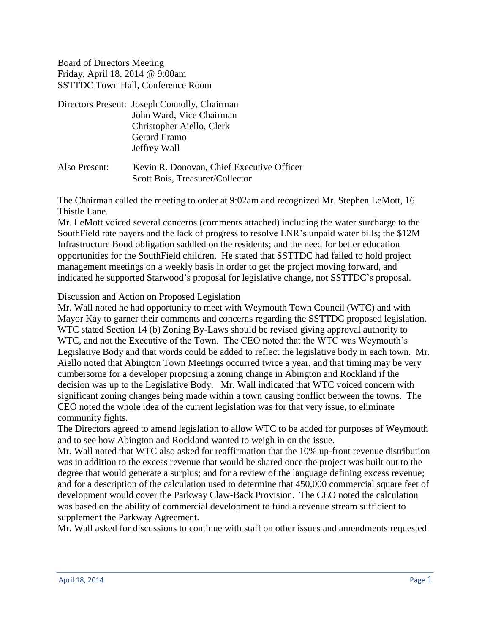Board of Directors Meeting Friday, April 18, 2014 @ 9:00am SSTTDC Town Hall, Conference Room

| Directors Present: Joseph Connolly, Chairman |
|----------------------------------------------|
| John Ward, Vice Chairman                     |
| Christopher Aiello, Clerk                    |
| Gerard Eramo                                 |
| Jeffrey Wall                                 |
|                                              |

Also Present: Kevin R. Donovan, Chief Executive Officer Scott Bois, Treasurer/Collector

The Chairman called the meeting to order at 9:02am and recognized Mr. Stephen LeMott, 16 Thistle Lane.

Mr. LeMott voiced several concerns (comments attached) including the water surcharge to the SouthField rate payers and the lack of progress to resolve LNR's unpaid water bills; the \$12M Infrastructure Bond obligation saddled on the residents; and the need for better education opportunities for the SouthField children. He stated that SSTTDC had failed to hold project management meetings on a weekly basis in order to get the project moving forward, and indicated he supported Starwood's proposal for legislative change, not SSTTDC's proposal.

#### Discussion and Action on Proposed Legislation

Mr. Wall noted he had opportunity to meet with Weymouth Town Council (WTC) and with Mayor Kay to garner their comments and concerns regarding the SSTTDC proposed legislation. WTC stated Section 14 (b) Zoning By-Laws should be revised giving approval authority to WTC, and not the Executive of the Town. The CEO noted that the WTC was Weymouth's Legislative Body and that words could be added to reflect the legislative body in each town. Mr. Aiello noted that Abington Town Meetings occurred twice a year, and that timing may be very cumbersome for a developer proposing a zoning change in Abington and Rockland if the decision was up to the Legislative Body. Mr. Wall indicated that WTC voiced concern with significant zoning changes being made within a town causing conflict between the towns. The CEO noted the whole idea of the current legislation was for that very issue, to eliminate community fights.

The Directors agreed to amend legislation to allow WTC to be added for purposes of Weymouth and to see how Abington and Rockland wanted to weigh in on the issue.

Mr. Wall noted that WTC also asked for reaffirmation that the 10% up-front revenue distribution was in addition to the excess revenue that would be shared once the project was built out to the degree that would generate a surplus; and for a review of the language defining excess revenue; and for a description of the calculation used to determine that 450,000 commercial square feet of development would cover the Parkway Claw-Back Provision. The CEO noted the calculation was based on the ability of commercial development to fund a revenue stream sufficient to supplement the Parkway Agreement.

Mr. Wall asked for discussions to continue with staff on other issues and amendments requested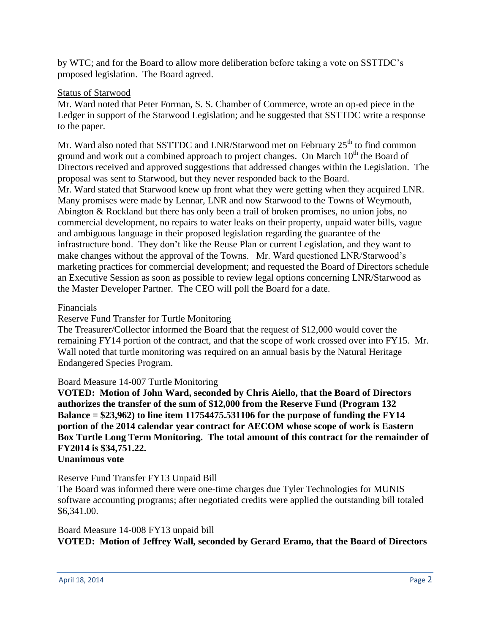by WTC; and for the Board to allow more deliberation before taking a vote on SSTTDC's proposed legislation. The Board agreed.

#### Status of Starwood

Mr. Ward noted that Peter Forman, S. S. Chamber of Commerce, wrote an op-ed piece in the Ledger in support of the Starwood Legislation; and he suggested that SSTTDC write a response to the paper.

Mr. Ward also noted that SSTTDC and LNR/Starwood met on February 25<sup>th</sup> to find common ground and work out a combined approach to project changes. On March  $10<sup>th</sup>$  the Board of Directors received and approved suggestions that addressed changes within the Legislation. The proposal was sent to Starwood, but they never responded back to the Board. Mr. Ward stated that Starwood knew up front what they were getting when they acquired LNR. Many promises were made by Lennar, LNR and now Starwood to the Towns of Weymouth, Abington & Rockland but there has only been a trail of broken promises, no union jobs, no commercial development, no repairs to water leaks on their property, unpaid water bills, vague and ambiguous language in their proposed legislation regarding the guarantee of the infrastructure bond. They don't like the Reuse Plan or current Legislation, and they want to make changes without the approval of the Towns. Mr. Ward questioned LNR/Starwood's marketing practices for commercial development; and requested the Board of Directors schedule an Executive Session as soon as possible to review legal options concerning LNR/Starwood as the Master Developer Partner. The CEO will poll the Board for a date.

#### Financials

Reserve Fund Transfer for Turtle Monitoring

The Treasurer/Collector informed the Board that the request of \$12,000 would cover the remaining FY14 portion of the contract, and that the scope of work crossed over into FY15. Mr. Wall noted that turtle monitoring was required on an annual basis by the Natural Heritage Endangered Species Program.

## Board Measure 14-007 Turtle Monitoring

**VOTED: Motion of John Ward, seconded by Chris Aiello, that the Board of Directors authorizes the transfer of the sum of \$12,000 from the Reserve Fund (Program 132 Balance = \$23,962) to line item 11754475.531106 for the purpose of funding the FY14 portion of the 2014 calendar year contract for AECOM whose scope of work is Eastern Box Turtle Long Term Monitoring. The total amount of this contract for the remainder of FY2014 is \$34,751.22.**

# **Unanimous vote**

## Reserve Fund Transfer FY13 Unpaid Bill

The Board was informed there were one-time charges due Tyler Technologies for MUNIS software accounting programs; after negotiated credits were applied the outstanding bill totaled \$6,341.00.

## Board Measure 14-008 FY13 unpaid bill **VOTED: Motion of Jeffrey Wall, seconded by Gerard Eramo, that the Board of Directors**